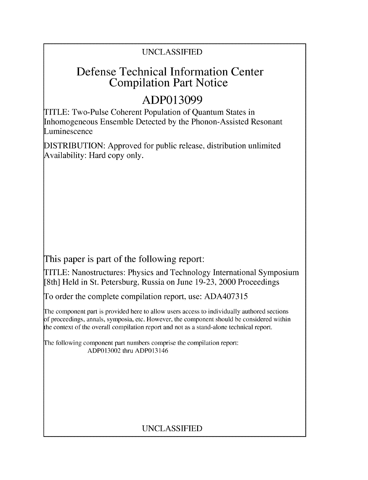# UNCLASSIFIED

# Defense Technical Information Center Compilation Part Notice

# **ADP013099**

TITLE: Two-Pulse Coherent Population of Quantum States in Inhomogeneous Ensemble Detected by the Phonon-Assisted Resonant Luminescence

DISTRIBUTION: Approved for public release, distribution unlimited Availability: Hard copy only.

This paper is part of the following report:

TITLE: Nanostructures: Physics and Technology International Symposium [8th] Held in St. Petersburg, Russia on June 19-23, 2000 Proceedings

To order the complete compilation report, use: ADA407315

The component part is provided here to allow users access to individually authored sections f proceedings, annals, symposia, etc. However, the component should be considered within the context of the overall compilation report and not as a stand-alone technical report.

The following component part numbers comprise the compilation report: ADP013002 thru ADP013146

# UNCLASSIFIED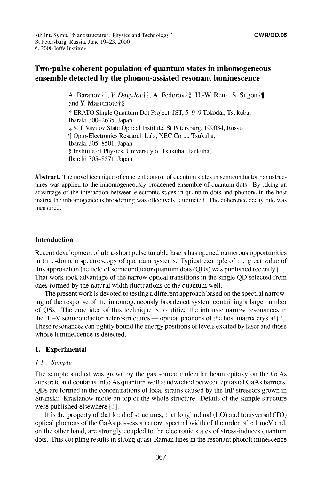## Two-pulse coherent population of quantum states in inhomogeneous ensemble detected **by** the phonon-assisted resonant luminescence

A. Baranov†‡, V. Davydov†‡, A. Fedorov‡§, H.-W. Ren†, S. Sugou†¶ and Y. Masumoto†§ **T** ERATO Single Quantum Dot Project, JST, 5-9-9 Tokodai, Tsukuba, Ibaraki 300-2635, Japan -: S. I. Vavilov State Optical Institute, St Petersburg, 199034, Russia **9[** Opto-Electronics Research Lab., NEC Corp., Tsukuba, Ibaraki 305-8501, Japan § Institute of Physics, University of Tsukuba, Tsukuba, Ibaraki 305-8571, Japan

Abstract. The novel technique of coherent control of quantum states in semiconductor nanostructures was applied to the inhomogeneously broadened ensemble of quantum dots. By taking an advantage of the interaction between electronic states in quantum dots and phonons in the host matrix the inhomogeneous broadening was effectively eliminated. The coherence decay rate was measured.

### Introduction

Recent development of ultra-short pulse tunable lasers has opened numerous opportunities in time-domain spectroscopy of quantum systems. Typical example of the great value of this approach in the field of semiconductor quantum dots (QDs) was published recently **[ ].** That work took advantage of the narrow optical transitions in the single QD selected from ones formed by the natural width fluctuations of the quantum well.

The present work is devoted to testing a different approach based on the spectral narrowing of the response of the inhomogeneously broadened system containing a large number of QSs. The core idea of this technique is to utilize the intrinsic narrow resonances in the III-V semiconductor heterostructures **-** optical phonons of the host matrix crystal **[ ].** These resonances can tightly bound the energy positions of levels excited by laser and those whose luminescence is detected.

## 1. Experimental

## *1.1. Sample*

The sample studied was grown by the gas source molecular beam epitaxy on the GaAs substrate and contains InGaAs quantum well sandwiched between epitaxial GaAs barriers. QDs are formed in the concentrations of local strains caused by the InP stressors grown in Stranskii-Krastanow mode on top of the whole structure. Details of the sample structure were published elsewhere [3].

It is the property of that kind of structures, that longitudinal (LO) and transversal (TO) optical phonons of the GaAs possess a narrow spectral width of the order of < **I** meV and, on the other hand, are strongly coupled to the electronic states of stress-induces quantum dots. This coupling results in strong quasi-Raman lines in the resonant photoluminescence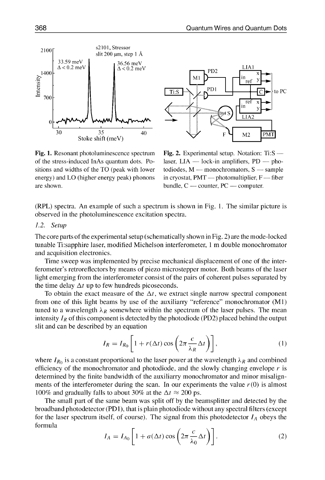1400<sup>'</sup><br>Extensity **<sup>0</sup>**ILI **/1 3c0 <sup>I</sup>** Stoke shift (meV)

 $33.59 \text{ meV}$ <br> $\Delta < 0.2 \text{ meV}$   $36.56 \text{ meV}$ 

2100 s2101, Stressor

slit 200  $\mu$ m, step 1 Å

of the stress-induced InAs quantum dots. Po- laser, LIA **-** lock-in amplifiers, PD **-** phositions and widths of the TO (peak with lower todiodes,  $M$  - monochromators,  $S$  - sample energy) and LO (higher energy peak) phonons in cryostat, PMT — photomultiplier, F — fiber are shown. bundle, C — counter, PC — computer.



Fig. 1. Resonant photoluminescence spectrum Fig. 2. Experimental setup. Notation: Ti:S

(RPL) spectra. An example of such a spectrum is shown in Fig. **1.** The similar picture is observed in the photoluminescence excitation spectra.

#### *1.2. Setup*

The core parts of the experimental setup (schematically shown in Fig. 2) are the mode-locked tunable Ti:sapphire laser, modified Michelson interferometer, **I** m double monochromator and acquisition electronics.

Time sweep was implemented by precise mechanical displacement of one of the interferometer's retroreflectors by means of piezo microstepper motor. Both beams of the laser light emerging from the interferometer consist of the pairs of coherent pulses separated by the time delay  $\Delta t$  up to few hundreds picoseconds.

To obtain the exact measure of the  $\Delta t$ , we extract single narrow spectral component from one of this light beams by use of the auxiliarry "reference" monochromator (MI) tuned to a wavelength  $\lambda_R$  somewhere within the spectrum of the laser pulses. The mean intensity  $I_R$  of this component is detected by the photodiode (PD2) placed behind the output slit and can be described by an equation

$$
I_R = I_{R_0} \left[ 1 + r(\Delta t) \cos \left( 2\pi \frac{c}{\lambda_R} \Delta t \right) \right],\tag{1}
$$

where  $I_{R_0}$  is a constant proportional to the laser power at the wavelength  $\lambda_R$  and combined efficiency of the monochromator and photodiode, and the slowly changing envelope  $r$  is determined by the finite bandwidth of the auxiliarry monochromator and minor misalignments of the interferometer during the scan. In our experiments the value  $r(0)$  is almost 100% and gradually falls to about 30% at the  $\Delta t \approx 200$  ps.

The small part of the same beam was split off by the beamsplitter and detected by the broadband photodetector (PD1), that is plain photodiode without any spectral filters (except for the laser spectrum itself, of course). The signal from this photodetector  $I_A$  obeys the formula

$$
I_A = I_{A_0} \left[ 1 + a(\Delta t) \cos \left( 2\pi \frac{c}{\lambda_0} \Delta t \right) \right].
$$
 (2)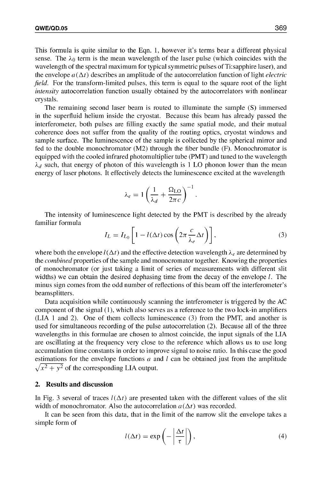This formula is quite similar to the Eqn. **1,** however it's terms bear a different physical sense. The  $\lambda_0$  term is the mean wavelength of the laser pulse (which coincides with the wavelength of the spectral maximum for typical symmetric pulses of Ti:sapphire laser), and the envelope  $a(\Delta t)$  describes an amplitude of the autocorrelation function of light *electric field.* For the transform-limited pulses, this term is equal to the square root of the light *intensity* autocorrelation function usually obtained by the autocorrelators with nonlinear crystals.

The remaining second laser beam is routed to illuminate the sample (S) immersed in the superfluid helium inside the cryostat. Because this beam has already passed the interferometer, both pulses are filling exactly the same spatial mode, and their mutual coherence does not suffer from the quality of the routing optics, cryostat windows and sample surface. The luminescence of the sample is collected by the spherical mirror and fed to the double monochromator (M2) through the fiber bundle (F). Monochromator is equipped with the cooled infrared photomultiplier tube (PMT) and tuned to the wavelength  $\lambda_d$  such, that energy of photon of this wavelength is 1 LO phonon lower than the mean energy of laser photons. It effectively detects the luminescence excited at the wavelength

$$
\lambda_e = 1 \left( \frac{1}{\lambda_d} + \frac{\Omega_{LO}}{2\pi c} \right)^{-1}
$$

The intensity of luminescence light detected by the PMT is described by the already familiar formula

$$
I_L = I_{L_0} \left[ 1 - l(\Delta t) \cos \left( 2\pi \frac{c}{\lambda_e} \Delta t \right) \right],
$$
 (3)

where both the envelope  $l(\Delta t)$  and the effective detection wavelength  $\lambda_e$  are determined by the *combined* properties of the sample and monocromator together. Knowing the properties of monochromator (or just taking a limit of series of measurements with different slit widths) we can obtain the desired dephasing time from the decay of the envelope  $l$ . The minus sign comes from the odd number of reflections of this beam off the interferometer's beamsplitters.

Data acquisition while continuously scanning the intrferometer is triggered by the AC component of the signal (1), which also serves as a reference to the two lock-in amplifiers (LIA **I** and 2). One of them collects luminescence (3) from the PMT, and another is used for simultaneous recording of the pulse autocorrelation (2). Because all of the three wavelengths in this formulae are chosen to almost coincide, the input signals of the LIA are oscillating at the frequency very close to the reference which allows us to use long accumulation time constants in order to improve signal to noise ratio. In this case the good estimations for the envelope functions  $a$  and  $l$  can be obtained just from the amplitude  $\sqrt{x^2 + y^2}$  of the corresponding LIA output.

#### 2. Results and discussion

In Fig. 3 several of traces  $I(\Delta t)$  are presented taken with the different values of the slit width of monochromator. Also the autocorrelation  $a(\Delta t)$  was recorded.

It can be seen from this data, that in the limit of the narrow slit the envelope takes a simple form of

$$
l(\Delta t) = \exp\left(-\left|\frac{\Delta t}{\tau}\right|\right),\tag{4}
$$